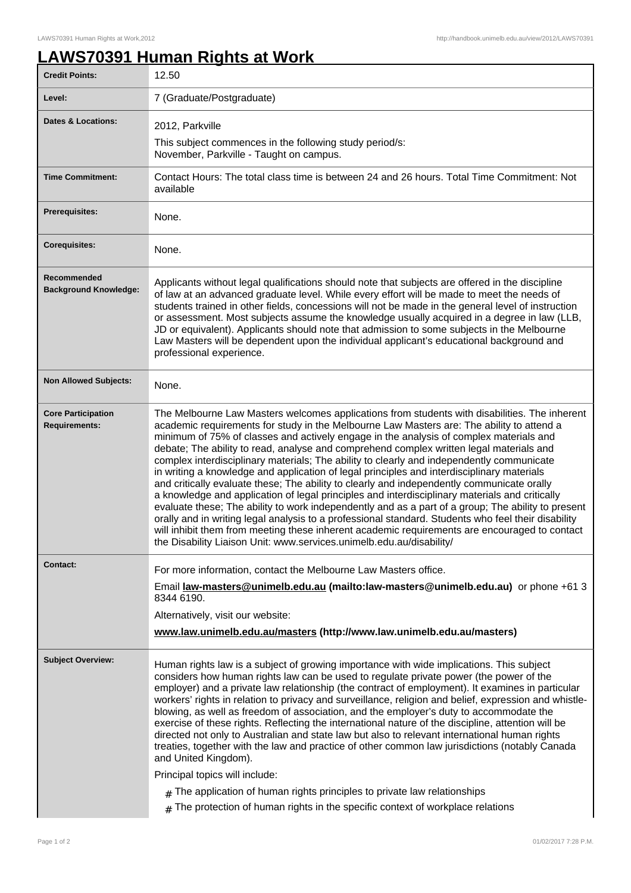## **LAWS70391 Human Rights at Work**

| <b>Credit Points:</b>                             | 12.50                                                                                                                                                                                                                                                                                                                                                                                                                                                                                                                                                                                                                                                                                                                                                                                                                                                                                                                                                                                                                                                                                                                                                            |
|---------------------------------------------------|------------------------------------------------------------------------------------------------------------------------------------------------------------------------------------------------------------------------------------------------------------------------------------------------------------------------------------------------------------------------------------------------------------------------------------------------------------------------------------------------------------------------------------------------------------------------------------------------------------------------------------------------------------------------------------------------------------------------------------------------------------------------------------------------------------------------------------------------------------------------------------------------------------------------------------------------------------------------------------------------------------------------------------------------------------------------------------------------------------------------------------------------------------------|
| Level:                                            | 7 (Graduate/Postgraduate)                                                                                                                                                                                                                                                                                                                                                                                                                                                                                                                                                                                                                                                                                                                                                                                                                                                                                                                                                                                                                                                                                                                                        |
| <b>Dates &amp; Locations:</b>                     | 2012, Parkville                                                                                                                                                                                                                                                                                                                                                                                                                                                                                                                                                                                                                                                                                                                                                                                                                                                                                                                                                                                                                                                                                                                                                  |
|                                                   | This subject commences in the following study period/s:<br>November, Parkville - Taught on campus.                                                                                                                                                                                                                                                                                                                                                                                                                                                                                                                                                                                                                                                                                                                                                                                                                                                                                                                                                                                                                                                               |
| <b>Time Commitment:</b>                           | Contact Hours: The total class time is between 24 and 26 hours. Total Time Commitment: Not<br>available                                                                                                                                                                                                                                                                                                                                                                                                                                                                                                                                                                                                                                                                                                                                                                                                                                                                                                                                                                                                                                                          |
| <b>Prerequisites:</b>                             | None.                                                                                                                                                                                                                                                                                                                                                                                                                                                                                                                                                                                                                                                                                                                                                                                                                                                                                                                                                                                                                                                                                                                                                            |
| <b>Corequisites:</b>                              | None.                                                                                                                                                                                                                                                                                                                                                                                                                                                                                                                                                                                                                                                                                                                                                                                                                                                                                                                                                                                                                                                                                                                                                            |
| Recommended<br><b>Background Knowledge:</b>       | Applicants without legal qualifications should note that subjects are offered in the discipline<br>of law at an advanced graduate level. While every effort will be made to meet the needs of<br>students trained in other fields, concessions will not be made in the general level of instruction<br>or assessment. Most subjects assume the knowledge usually acquired in a degree in law (LLB,<br>JD or equivalent). Applicants should note that admission to some subjects in the Melbourne<br>Law Masters will be dependent upon the individual applicant's educational background and<br>professional experience.                                                                                                                                                                                                                                                                                                                                                                                                                                                                                                                                         |
| <b>Non Allowed Subjects:</b>                      | None.                                                                                                                                                                                                                                                                                                                                                                                                                                                                                                                                                                                                                                                                                                                                                                                                                                                                                                                                                                                                                                                                                                                                                            |
| <b>Core Participation</b><br><b>Requirements:</b> | The Melbourne Law Masters welcomes applications from students with disabilities. The inherent<br>academic requirements for study in the Melbourne Law Masters are: The ability to attend a<br>minimum of 75% of classes and actively engage in the analysis of complex materials and<br>debate; The ability to read, analyse and comprehend complex written legal materials and<br>complex interdisciplinary materials; The ability to clearly and independently communicate<br>in writing a knowledge and application of legal principles and interdisciplinary materials<br>and critically evaluate these; The ability to clearly and independently communicate orally<br>a knowledge and application of legal principles and interdisciplinary materials and critically<br>evaluate these; The ability to work independently and as a part of a group; The ability to present<br>orally and in writing legal analysis to a professional standard. Students who feel their disability<br>will inhibit them from meeting these inherent academic requirements are encouraged to contact<br>the Disability Liaison Unit: www.services.unimelb.edu.au/disability/ |
| <b>Contact:</b>                                   | For more information, contact the Melbourne Law Masters office.                                                                                                                                                                                                                                                                                                                                                                                                                                                                                                                                                                                                                                                                                                                                                                                                                                                                                                                                                                                                                                                                                                  |
|                                                   | Email law-masters@unimelb.edu.au (mailto:law-masters@unimelb.edu.au) or phone +61 3<br>8344 6190.                                                                                                                                                                                                                                                                                                                                                                                                                                                                                                                                                                                                                                                                                                                                                                                                                                                                                                                                                                                                                                                                |
|                                                   | Alternatively, visit our website:                                                                                                                                                                                                                                                                                                                                                                                                                                                                                                                                                                                                                                                                                                                                                                                                                                                                                                                                                                                                                                                                                                                                |
|                                                   | www.law.unimelb.edu.au/masters (http://www.law.unimelb.edu.au/masters)                                                                                                                                                                                                                                                                                                                                                                                                                                                                                                                                                                                                                                                                                                                                                                                                                                                                                                                                                                                                                                                                                           |
| <b>Subject Overview:</b>                          | Human rights law is a subject of growing importance with wide implications. This subject<br>considers how human rights law can be used to regulate private power (the power of the<br>employer) and a private law relationship (the contract of employment). It examines in particular<br>workers' rights in relation to privacy and surveillance, religion and belief, expression and whistle-<br>blowing, as well as freedom of association, and the employer's duty to accommodate the<br>exercise of these rights. Reflecting the international nature of the discipline, attention will be<br>directed not only to Australian and state law but also to relevant international human rights<br>treaties, together with the law and practice of other common law jurisdictions (notably Canada<br>and United Kingdom).<br>Principal topics will include:<br>$#$ The application of human rights principles to private law relationships                                                                                                                                                                                                                      |
|                                                   | The protection of human rights in the specific context of workplace relations<br>#                                                                                                                                                                                                                                                                                                                                                                                                                                                                                                                                                                                                                                                                                                                                                                                                                                                                                                                                                                                                                                                                               |